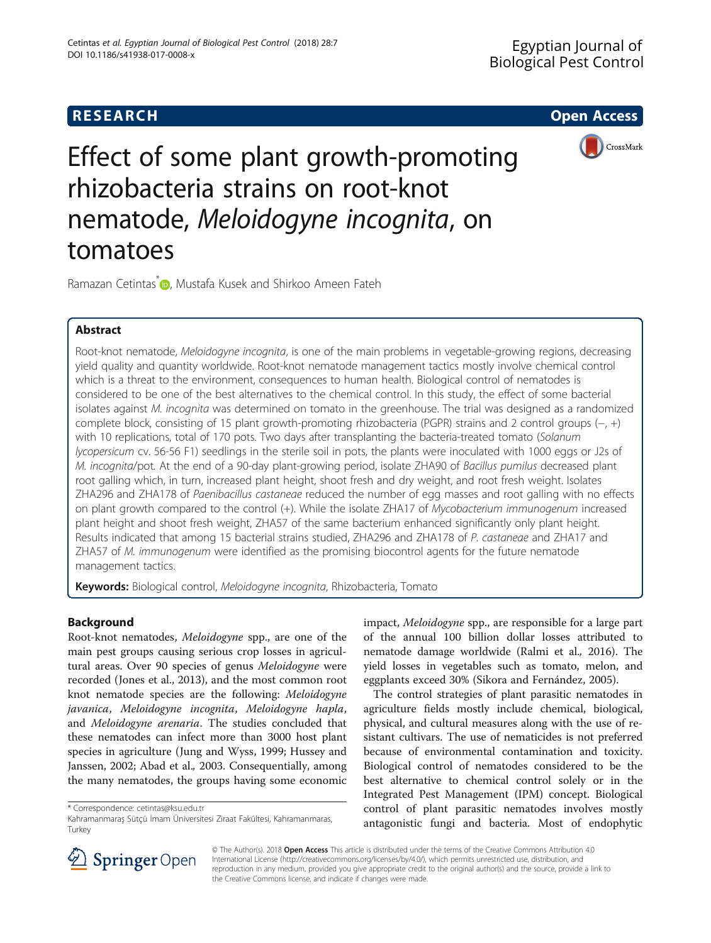

Effect of some plant growth-promoting rhizobacteria strains on root-knot nematode, Meloidogyne incognita, on tomatoes

Ramazan Cetintas<sup>\*</sup> <sub>D</sub>[,](http://orcid.org/0000-0002-5738-6915) Mustafa Kusek and Shirkoo Ameen Fateh

# Abstract

Root-knot nematode, Meloidogyne incognita, is one of the main problems in vegetable-growing regions, decreasing yield quality and quantity worldwide. Root-knot nematode management tactics mostly involve chemical control which is a threat to the environment, consequences to human health. Biological control of nematodes is considered to be one of the best alternatives to the chemical control. In this study, the effect of some bacterial isolates against M. incognita was determined on tomato in the greenhouse. The trial was designed as a randomized complete block, consisting of 15 plant growth-promoting rhizobacteria (PGPR) strains and 2 control groups (−, +) with 10 replications, total of 170 pots. Two days after transplanting the bacteria-treated tomato (Solanum lycopersicum cv. 56-56 F1) seedlings in the sterile soil in pots, the plants were inoculated with 1000 eggs or J2s of M. incognita/pot. At the end of a 90-day plant-growing period, isolate ZHA90 of Bacillus pumilus decreased plant root galling which, in turn, increased plant height, shoot fresh and dry weight, and root fresh weight. Isolates ZHA296 and ZHA178 of Paenibacillus castaneae reduced the number of egg masses and root galling with no effects on plant growth compared to the control (+). While the isolate ZHA17 of Mycobacterium immunogenum increased plant height and shoot fresh weight, ZHA57 of the same bacterium enhanced significantly only plant height. Results indicated that among 15 bacterial strains studied, ZHA296 and ZHA178 of P. castaneae and ZHA17 and ZHA57 of M. immunogenum were identified as the promising biocontrol agents for the future nematode management tactics.

Keywords: Biological control, Meloidogyne incognita, Rhizobacteria, Tomato

# Background

Root-knot nematodes, Meloidogyne spp., are one of the main pest groups causing serious crop losses in agricultural areas. Over 90 species of genus Meloidogyne were recorded (Jones et al., [2013\)](#page-4-0), and the most common root knot nematode species are the following: Meloidogyne javanica, Meloidogyne incognita, Meloidogyne hapla, and Meloidogyne arenaria. The studies concluded that these nematodes can infect more than 3000 host plant species in agriculture (Jung and Wyss, [1999;](#page-4-0) Hussey and Janssen, [2002;](#page-4-0) Abad et al., [2003.](#page-4-0) Consequentially, among the many nematodes, the groups having some economic

\* Correspondence: [cetintas@ksu.edu.tr](mailto:cetintas@ksu.edu.tr)

impact, Meloidogyne spp., are responsible for a large part of the annual 100 billion dollar losses attributed to nematode damage worldwide (Ralmi et al., [2016](#page-4-0)). The yield losses in vegetables such as tomato, melon, and eggplants exceed 30% (Sikora and Fernández, [2005](#page-4-0)).

The control strategies of plant parasitic nematodes in agriculture fields mostly include chemical, biological, physical, and cultural measures along with the use of resistant cultivars. The use of nematicides is not preferred because of environmental contamination and toxicity. Biological control of nematodes considered to be the best alternative to chemical control solely or in the Integrated Pest Management (IPM) concept. Biological control of plant parasitic nematodes involves mostly antagonistic fungi and bacteria. Most of endophytic



© The Author(s). 2018 Open Access This article is distributed under the terms of the Creative Commons Attribution 4.0 International License ([http://creativecommons.org/licenses/by/4.0/\)](http://creativecommons.org/licenses/by/4.0/), which permits unrestricted use, distribution, and reproduction in any medium, provided you give appropriate credit to the original author(s) and the source, provide a link to the Creative Commons license, and indicate if changes were made.

Kahramanmaraş Sütçü İmam Üniversitesi Ziraat Fakültesi, Kahramanmaras, Turkey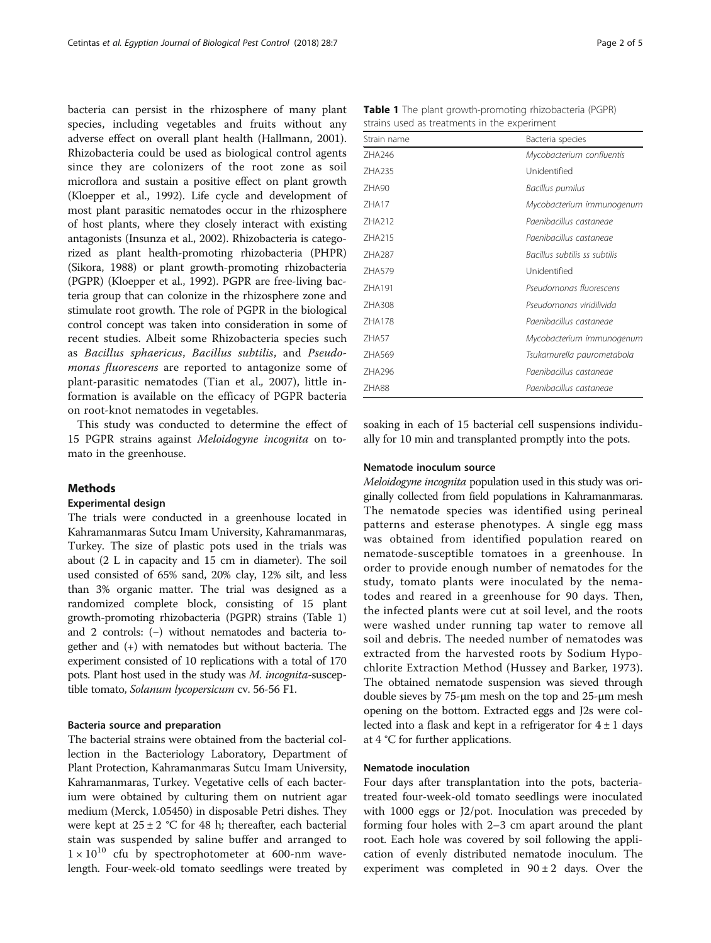bacteria can persist in the rhizosphere of many plant species, including vegetables and fruits without any adverse effect on overall plant health (Hallmann, [2001](#page-4-0)). Rhizobacteria could be used as biological control agents since they are colonizers of the root zone as soil microflora and sustain a positive effect on plant growth (Kloepper et al., [1992\)](#page-4-0). Life cycle and development of most plant parasitic nematodes occur in the rhizosphere of host plants, where they closely interact with existing antagonists (Insunza et al., [2002](#page-4-0)). Rhizobacteria is categorized as plant health-promoting rhizobacteria (PHPR) (Sikora, [1988\)](#page-4-0) or plant growth-promoting rhizobacteria (PGPR) (Kloepper et al., [1992\)](#page-4-0). PGPR are free-living bacteria group that can colonize in the rhizosphere zone and stimulate root growth. The role of PGPR in the biological control concept was taken into consideration in some of recent studies. Albeit some Rhizobacteria species such as Bacillus sphaericus, Bacillus subtilis, and Pseudomonas fluorescens are reported to antagonize some of plant-parasitic nematodes (Tian et al., [2007](#page-4-0)), little information is available on the efficacy of PGPR bacteria on root-knot nematodes in vegetables.

This study was conducted to determine the effect of 15 PGPR strains against Meloidogyne incognita on tomato in the greenhouse.

## Methods

### Experimental design

The trials were conducted in a greenhouse located in Kahramanmaras Sutcu Imam University, Kahramanmaras, Turkey. The size of plastic pots used in the trials was about (2 L in capacity and 15 cm in diameter). The soil used consisted of 65% sand, 20% clay, 12% silt, and less than 3% organic matter. The trial was designed as a randomized complete block, consisting of 15 plant growth-promoting rhizobacteria (PGPR) strains (Table 1) and 2 controls: (−) without nematodes and bacteria together and (+) with nematodes but without bacteria. The experiment consisted of 10 replications with a total of 170 pots. Plant host used in the study was M. incognita-susceptible tomato, Solanum lycopersicum cv. 56-56 F1.

#### Bacteria source and preparation

The bacterial strains were obtained from the bacterial collection in the Bacteriology Laboratory, Department of Plant Protection, Kahramanmaras Sutcu Imam University, Kahramanmaras, Turkey. Vegetative cells of each bacterium were obtained by culturing them on nutrient agar medium (Merck, 1.05450) in disposable Petri dishes. They were kept at  $25 \pm 2$  °C for 48 h; thereafter, each bacterial stain was suspended by saline buffer and arranged to  $1 \times 10^{10}$  cfu by spectrophotometer at 600-nm wavelength. Four-week-old tomato seedlings were treated by

Table 1 The plant growth-promoting rhizobacteria (PGPR) strains used as treatments in the experiment

| Strain name  | Bacteria species              |
|--------------|-------------------------------|
| 7HA246       | Mycobacterium confluentis     |
| 7HA235       | Unidentified                  |
| 7HA90        | Bacillus pumilus              |
| 7HA17        | Mycobacterium immunogenum     |
| 7HA212       | Paenibacillus castaneae       |
| 7HA215       | Paenibacillus castaneae       |
| 7HA287       | Bacillus subtilis ss subtilis |
| 7HA579       | Unidentified                  |
| 7HA191       | Pseudomonas fluorescens       |
| ZHA308       | Pseudomonas viridilivida      |
| 7HA178       | Paenibacillus castaneae       |
| <b>7HA57</b> | Mycobacterium immunogenum     |
| ZHA569       | Tsukamurella paurometabola    |
| ZHA296       | Paenibacillus castaneae       |
| 7HA88        | Paenibacillus castaneae       |

soaking in each of 15 bacterial cell suspensions individually for 10 min and transplanted promptly into the pots.

## Nematode inoculum source

Meloidogyne incognita population used in this study was originally collected from field populations in Kahramanmaras. The nematode species was identified using perineal patterns and esterase phenotypes. A single egg mass was obtained from identified population reared on nematode-susceptible tomatoes in a greenhouse. In order to provide enough number of nematodes for the study, tomato plants were inoculated by the nematodes and reared in a greenhouse for 90 days. Then, the infected plants were cut at soil level, and the roots were washed under running tap water to remove all soil and debris. The needed number of nematodes was extracted from the harvested roots by Sodium Hypochlorite Extraction Method (Hussey and Barker, [1973](#page-4-0)). The obtained nematode suspension was sieved through double sieves by 75-μm mesh on the top and 25-μm mesh opening on the bottom. Extracted eggs and J2s were collected into a flask and kept in a refrigerator for  $4 \pm 1$  days at 4 °C for further applications.

## Nematode inoculation

Four days after transplantation into the pots, bacteriatreated four-week-old tomato seedlings were inoculated with 1000 eggs or J2/pot. Inoculation was preceded by forming four holes with 2–3 cm apart around the plant root. Each hole was covered by soil following the application of evenly distributed nematode inoculum. The experiment was completed in  $90 \pm 2$  days. Over the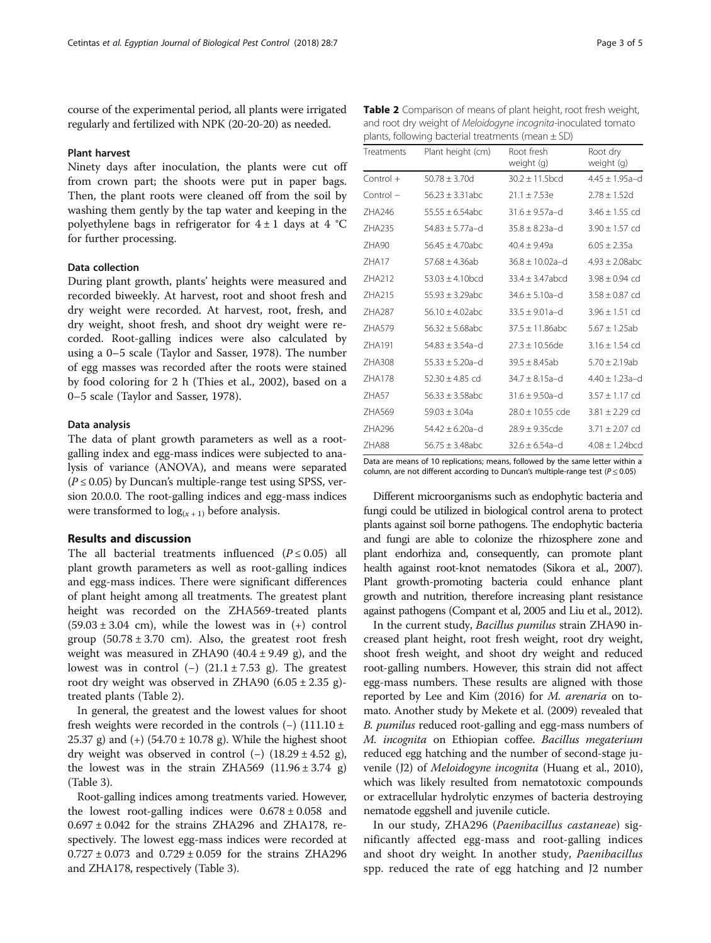course of the experimental period, all plants were irrigated regularly and fertilized with NPK (20-20-20) as needed.

### Plant harvest

Ninety days after inoculation, the plants were cut off from crown part; the shoots were put in paper bags. Then, the plant roots were cleaned off from the soil by washing them gently by the tap water and keeping in the polyethylene bags in refrigerator for  $4 \pm 1$  days at  $4 °C$ for further processing.

## Data collection

During plant growth, plants' heights were measured and recorded biweekly. At harvest, root and shoot fresh and dry weight were recorded. At harvest, root, fresh, and dry weight, shoot fresh, and shoot dry weight were recorded. Root-galling indices were also calculated by using a 0–5 scale (Taylor and Sasser, [1978\)](#page-4-0). The number of egg masses was recorded after the roots were stained by food coloring for 2 h (Thies et al., [2002\)](#page-4-0), based on a 0–5 scale (Taylor and Sasser, [1978\)](#page-4-0).

## Data analysis

The data of plant growth parameters as well as a rootgalling index and egg-mass indices were subjected to analysis of variance (ANOVA), and means were separated  $(P \le 0.05)$  by Duncan's multiple-range test using SPSS, version 20.0.0. The root-galling indices and egg-mass indices were transformed to  $log_{(x + 1)}$  before analysis.

## Results and discussion

The all bacterial treatments influenced  $(P \le 0.05)$  all plant growth parameters as well as root-galling indices and egg-mass indices. There were significant differences of plant height among all treatments. The greatest plant height was recorded on the ZHA569-treated plants  $(59.03 \pm 3.04 \text{ cm})$ , while the lowest was in  $(+)$  control group  $(50.78 \pm 3.70 \text{ cm})$ . Also, the greatest root fresh weight was measured in ZHA90  $(40.4 \pm 9.49 \text{ g})$ , and the lowest was in control (−)  $(21.1 \pm 7.53 \text{ g})$ . The greatest root dry weight was observed in ZHA90  $(6.05 \pm 2.35 \text{ g})$ treated plants (Table 2).

In general, the greatest and the lowest values for shoot fresh weights were recorded in the controls  $(-)$  (111.10 ± 25.37 g) and  $(+)$  (54.70  $\pm$  10.78 g). While the highest shoot dry weight was observed in control (−)  $(18.29 \pm 4.52 \text{ g})$ , the lowest was in the strain ZHA569  $(11.96 \pm 3.74 \text{ g})$ (Table [3](#page-3-0)).

Root-galling indices among treatments varied. However, the lowest root-galling indices were  $0.678 \pm 0.058$  and  $0.697 \pm 0.042$  for the strains ZHA296 and ZHA178, respectively. The lowest egg-mass indices were recorded at  $0.727 \pm 0.073$  and  $0.729 \pm 0.059$  for the strains ZHA296 and ZHA178, respectively (Table [3](#page-3-0)).

Table 2 Comparison of means of plant height, root fresh weight, and root dry weight of Meloidogyne incognita-inoculated tomato plants, following bacterial treatments (mean  $\pm$  SD)

| Treatments   | Plant height (cm)    | Root fresh<br>weight (g) | Root dry<br>weight (g)       |
|--------------|----------------------|--------------------------|------------------------------|
| $Control +$  | $50.78 + 3.70d$      | $30.2 + 11.5$ bcd        | $4.45 + 1.95a-d$             |
| $Control -$  | $56.23 + 3.31abc$    | $21.1 + 7.53e$           | $2.78 + 1.52d$               |
| 7HA246       | $55.55 + 6.54abc$    | $31.6 + 9.57a - d$       | $3.46 + 1.55$ cd             |
| 7HA235       | $54.83 \pm 5.77$ a-d | $35.8 + 8.23a-d$         | $3.90 + 1.57$ cd             |
| 7HA90        | $56.45 + 4.70$ abc   | $40.4 + 9.49a$           | $6.05 \pm 2.35a$             |
| <b>7HA17</b> | $57.68 \pm 4.36ab$   | $36.8 + 10.02a-d$        | $4.93 \pm 2.08$ abc          |
| 7HA212       | $53.03 + 4.10$ bcd   | $33.4 \pm 3.47$ abcd     | $3.98 + 0.94$ cd             |
| 7HA215       | $55.93 + 3.29abc$    | $34.6 + 5.10a-d$         | $3.58 \pm 0.87$ cd           |
| ZHA287       | $56.10 + 4.02$ abc   | $33.5 + 9.01a-d$         | $3.96 + 1.51$ cd             |
| 7HA579       | $56.32 + 5.68abc$    | $37.5 + 11.86$ abc       | $5.67 + 1.25ab$              |
| 7HA191       | $54.83 + 3.54a - d$  | $27.3 + 10.56$ de        | $3.16 \pm 1.54$ cd           |
| 7HA308       | $55.33 + 5.20a-d$    | $39.5 + 8.45ab$          | $5.70 \pm 2.19$ ab           |
| 7HA178       | $52.30 + 4.85$ cd    | $34.7 \pm 8.15$ a-d      | $4.40 \pm 1.23$ a-d          |
| <b>7HA57</b> | $56.33 \pm 3.58abc$  | $31.6 \pm 9.50a - d$     | $3.57 \pm 1.17$ cd           |
| 7HA569       | $59.03 \pm 3.04a$    | $28.0 \pm 10.55$ cde     | $3.81 \pm 2.29$ cd           |
| 7HA296       | $54.42 + 6.20a-d$    | $28.9 \pm 9.35$ cde      | $3.71 \pm 2.07$ cd           |
| <b>7HA88</b> | $56.75 + 3.48abc$    | $32.6 + 6.54a - d$       | $4.08 + 1.24$ <sub>bcd</sub> |

Data are means of 10 replications; means, followed by the same letter within a column, are not different according to Duncan's multiple-range test ( $P < 0.05$ )

Different microorganisms such as endophytic bacteria and fungi could be utilized in biological control arena to protect plants against soil borne pathogens. The endophytic bacteria and fungi are able to colonize the rhizosphere zone and plant endorhiza and, consequently, can promote plant health against root-knot nematodes (Sikora et al., [2007](#page-4-0)). Plant growth-promoting bacteria could enhance plant growth and nutrition, therefore increasing plant resistance against pathogens (Compant et al, [2005](#page-4-0) and Liu et al., [2012](#page-4-0)).

In the current study, Bacillus pumilus strain ZHA90 increased plant height, root fresh weight, root dry weight, shoot fresh weight, and shoot dry weight and reduced root-galling numbers. However, this strain did not affect egg-mass numbers. These results are aligned with those reported by Lee and Kim [\(2016](#page-4-0)) for M. arenaria on tomato. Another study by Mekete et al. ([2009\)](#page-4-0) revealed that B. *pumilus* reduced root-galling and egg-mass numbers of M. incognita on Ethiopian coffee. Bacillus megaterium reduced egg hatching and the number of second-stage juvenile (J2) of Meloidogyne incognita (Huang et al., [2010](#page-4-0)), which was likely resulted from nematotoxic compounds or extracellular hydrolytic enzymes of bacteria destroying nematode eggshell and juvenile cuticle.

In our study, ZHA296 (Paenibacillus castaneae) significantly affected egg-mass and root-galling indices and shoot dry weight. In another study, Paenibacillus spp. reduced the rate of egg hatching and J2 number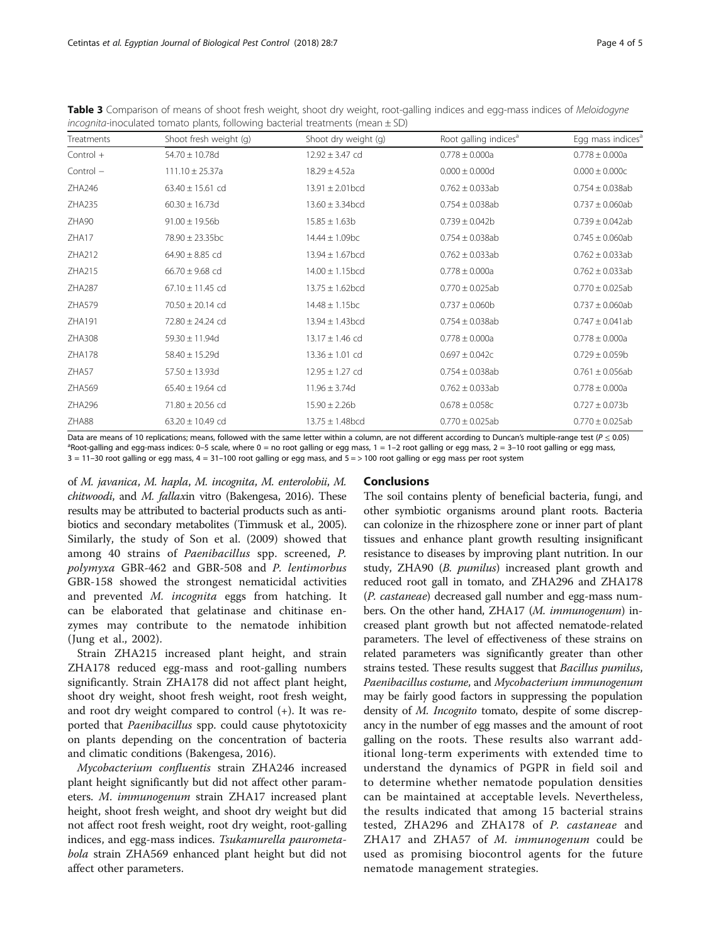<span id="page-3-0"></span>

|                                                                                    | Table 3 Comparison of means of shoot fresh weight, shoot dry weight, root-galling indices and egg-mass indices of Meloidogyne |
|------------------------------------------------------------------------------------|-------------------------------------------------------------------------------------------------------------------------------|
| incognita-inoculated tomato plants, following bacterial treatments (mean $\pm$ SD) |                                                                                                                               |

| Treatments | Shoot fresh weight (g) | Shoot dry weight (g)        | Root galling indices <sup>a</sup> | Egg mass indices <sup>a</sup> |
|------------|------------------------|-----------------------------|-----------------------------------|-------------------------------|
| Control +  | $54.70 \pm 10.78$ d    | $12.92 \pm 3.47$ cd         | $0.778 \pm 0.000a$                | $0.778 \pm 0.000a$            |
| Control -  | $111.10 \pm 25.37a$    | $18.29 \pm 4.52a$           | $0.000 \pm 0.000d$                | $0.000 \pm 0.000c$            |
| ZHA246     | $63.40 \pm 15.61$ cd   | $13.91 \pm 2.01$ bcd        | $0.762 \pm 0.033$ ab              | $0.754 \pm 0.038$ ab          |
| ZHA235     | $60.30 \pm 16.73$ d    | $13.60 \pm 3.34$ bcd        | $0.754 \pm 0.038$ ab              | $0.737 \pm 0.060$ ab          |
| ZHA90      | $91.00 \pm 19.56$      | $15.85 \pm 1.63b$           | $0.739 \pm 0.042b$                | $0.739 \pm 0.042$ ab          |
| ZHA17      | $78.90 \pm 23.35$ bc   | $14.44 \pm 1.09$ bc         | $0.754 \pm 0.038$ ab              | $0.745 \pm 0.060$ ab          |
| ZHA212     | $64.90 \pm 8.85$ cd    | $13.94 \pm 1.67$ bcd        | $0.762 \pm 0.033$ ab              | $0.762 \pm 0.033$ ab          |
| ZHA215     | $66.70 \pm 9.68$ cd    | $14.00 \pm 1.15$ bcd        | $0.778 \pm 0.000a$                | $0.762 \pm 0.033$ ab          |
| ZHA287     | $67.10 \pm 11.45$ cd   | $13.75 \pm 1.62$ bcd        | $0.770 \pm 0.025$ ab              | $0.770 \pm 0.025$ ab          |
| ZHA579     | $70.50 \pm 20.14$ cd   | $14.48 \pm 1.15$ bc         | $0.737 \pm 0.060$ b               | $0.737 \pm 0.060$ ab          |
| ZHA191     | 72.80 ± 24.24 cd       | $13.94 \pm 1.43 \text{bcd}$ | $0.754 \pm 0.038$ ab              | $0.747 \pm 0.041$ ab          |
| ZHA308     | $59.30 \pm 11.94$ d    | 13.17 ± 1.46 cd             | $0.778 \pm 0.000a$                | $0.778 \pm 0.000a$            |
| ZHA178     | $58.40 \pm 15.29$ d    | $13.36 \pm 1.01$ cd         | $0.697 \pm 0.042c$                | $0.729 \pm 0.059$ b           |
| ZHA57      | $57.50 \pm 13.93$ d    | $12.95 \pm 1.27$ cd         | $0.754 \pm 0.038$ ab              | $0.761 \pm 0.056$ ab          |
| ZHA569     | $65.40 \pm 19.64$ cd   | $11.96 \pm 3.74$ d          | $0.762 \pm 0.033$ ab              | $0.778 \pm 0.000a$            |
| ZHA296     | 71.80 ± 20.56 cd       | $15.90 \pm 2.26b$           | $0.678 \pm 0.058c$                | $0.727 \pm 0.073b$            |
| ZHA88      | $63.20 \pm 10.49$ cd   | $13.75 \pm 1.48$ bcd        | $0.770 \pm 0.025$ ab              | $0.770 \pm 0.025$ ab          |

Data are means of 10 replications; means, followed with the same letter within a column, are not different according to Duncan's multiple-range test ( $P \le 0.05$ )  $a$ Root-galling and egg-mass indices: 0-5 scale, where 0 = no root galling or egg mass, 1 = 1-2 root galling or egg mass, 2 = 3-10 root galling or egg mass,  $3 = 11$ –30 root galling or egg mass,  $4 = 31$ –100 root galling or egg mass, and  $5 = > 100$  root galling or egg mass per root system

of M. javanica, M. hapla, M. incognita, M. enterolobii, M. chitwoodi, and M. fallaxin vitro (Bakengesa, [2016\)](#page-4-0). These results may be attributed to bacterial products such as antibiotics and secondary metabolites (Timmusk et al., [2005](#page-4-0)). Similarly, the study of Son et al. ([2009\)](#page-4-0) showed that among 40 strains of Paenibacillus spp. screened, P. polymyxa GBR-462 and GBR-508 and P. lentimorbus GBR-158 showed the strongest nematicidal activities and prevented M. incognita eggs from hatching. It can be elaborated that gelatinase and chitinase enzymes may contribute to the nematode inhibition (Jung et al., [2002](#page-4-0)).

Strain ZHA215 increased plant height, and strain ZHA178 reduced egg-mass and root-galling numbers significantly. Strain ZHA178 did not affect plant height, shoot dry weight, shoot fresh weight, root fresh weight, and root dry weight compared to control  $(+)$ . It was reported that Paenibacillus spp. could cause phytotoxicity on plants depending on the concentration of bacteria and climatic conditions (Bakengesa, [2016\)](#page-4-0).

Mycobacterium confluentis strain ZHA246 increased plant height significantly but did not affect other parameters. M. immunogenum strain ZHA17 increased plant height, shoot fresh weight, and shoot dry weight but did not affect root fresh weight, root dry weight, root-galling indices, and egg-mass indices. Tsukamurella paurometabola strain ZHA569 enhanced plant height but did not affect other parameters.

## **Conclusions**

The soil contains plenty of beneficial bacteria, fungi, and other symbiotic organisms around plant roots. Bacteria can colonize in the rhizosphere zone or inner part of plant tissues and enhance plant growth resulting insignificant resistance to diseases by improving plant nutrition. In our study, ZHA90 (B. pumilus) increased plant growth and reduced root gall in tomato, and ZHA296 and ZHA178 (P. castaneae) decreased gall number and egg-mass numbers. On the other hand, ZHA17 (M. immunogenum) increased plant growth but not affected nematode-related parameters. The level of effectiveness of these strains on related parameters was significantly greater than other strains tested. These results suggest that Bacillus pumilus, Paenibacillus costume, and Mycobacterium immunogenum may be fairly good factors in suppressing the population density of *M. Incognito* tomato, despite of some discrepancy in the number of egg masses and the amount of root galling on the roots. These results also warrant additional long-term experiments with extended time to understand the dynamics of PGPR in field soil and to determine whether nematode population densities can be maintained at acceptable levels. Nevertheless, the results indicated that among 15 bacterial strains tested, ZHA296 and ZHA178 of P. castaneae and ZHA17 and ZHA57 of M. immunogenum could be used as promising biocontrol agents for the future nematode management strategies.